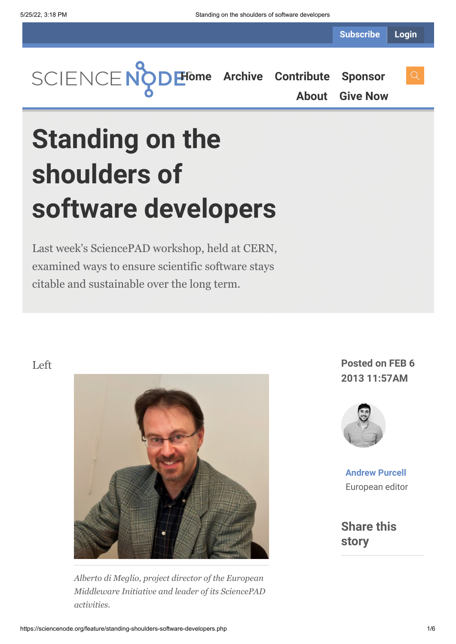

**[About](https://sciencenode.org/about/index.php) [Give Now](https://sciencenode.org/donate/index.php)**

## **Standing on the shoulders of software developers**

Last week's SciencePAD workshop, held at CERN, examined ways to ensure scientific software stays citable and sustainable over the long term.



*Alberto di Meglio, project director of the European Middleware Initiative and leader of its SciencePAD activities.*

## **2013 11:57AM**



**[Andrew Purcell](https://sciencenode.org/author/andrew-purcell.php)** European editor

**Share this story**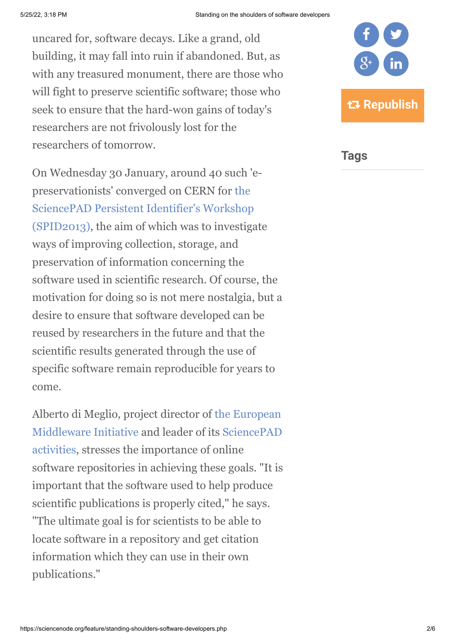uncared for, software decays. Like a grand, old building, it may fall into ruin if abandoned. But, as with any treasured monument, there are those who will fight to preserve scientific software; those who seek to ensure that the hard-won gains of today's researchers are not frivolously lost for the researchers of tomorrow.

On Wednesday 30 January, around 40 such 'epreservationists' converged on CERN for the [SciencePAD Persistent Identifier's Workshop](https://indico.cern.ch/conferenceDisplay.py?confId=218386) (SPID2013), the aim of which was to investigate ways of improving collection, storage, and preservation of information concerning the software used in scientific research. Of course, the motivation for doing so is not mere nostalgia, but a desire to ensure that software developed can be reused by researchers in the future and that the scientific results generated through the use of specific software remain reproducible for years to come.

[Alberto di Meglio, project director of the European](http://www.eu-emi.eu/) [Middleware Initiative and leader of its SciencePAD](http://www.isgtw.org/feature/sciencepad-treasure-hunt-persistent-identifiers) activities, stresses the importance of online software repositories in achieving these goals. "It is important that the software used to help produce scientific publications is properly cited," he says. "The ultimate goal is for scientists to be able to locate software in a repository and get citation information which they can use in their own publications."



**Tags**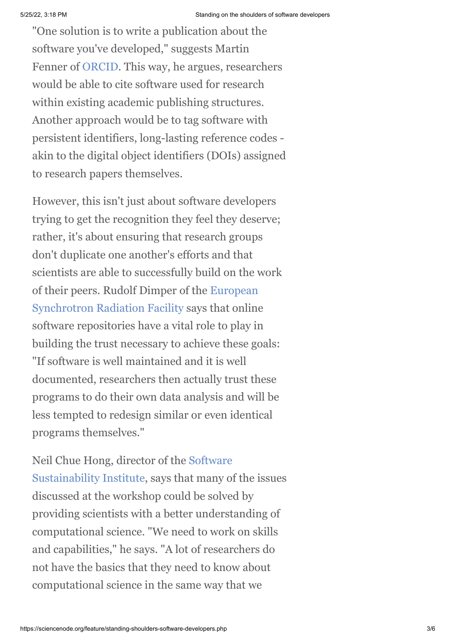"One solution is to write a publication about the software you've developed," suggests Martin Fenner of [ORCID.](http://about.orcid.org/) This way, he argues, researchers would be able to cite software used for research within existing academic publishing structures. Another approach would be to tag software with persistent identifiers, long-lasting reference codes akin to the digital object identifiers (DOIs) assigned to research papers themselves.

However, this isn't just about software developers trying to get the recognition they feel they deserve; rather, it's about ensuring that research groups don't duplicate one another's efforts and that scientists are able to successfully build on the work [of their peers. Rudolf Dimper of the European](http://www.esrf.eu/) Synchrotron Radiation Facility says that online software repositories have a vital role to play in building the trust necessary to achieve these goals: "If software is well maintained and it is well documented, researchers then actually trust these programs to do their own data analysis and will be less tempted to redesign similar or even identical programs themselves."

[Neil Chue Hong, director of the Software](http://www.software.ac.uk/) Sustainability Institute, says that many of the issues discussed at the workshop could be solved by providing scientists with a better understanding of computational science. "We need to work on skills and capabilities," he says. "A lot of researchers do not have the basics that they need to know about computational science in the same way that we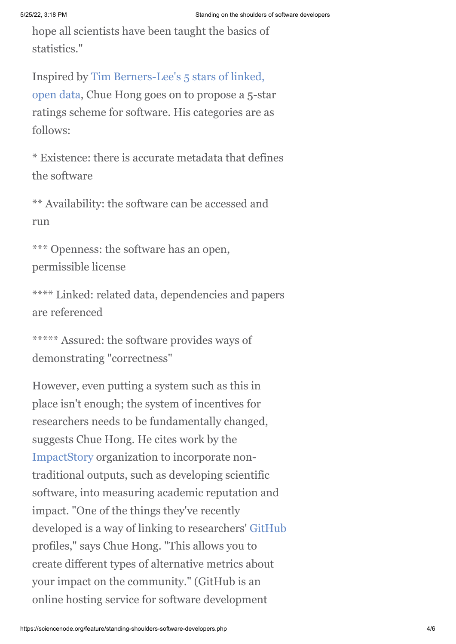hope all scientists have been taught the basics of statistics."

Inspired by Tim Berners-Lee's 5 stars of linked, [open data, Chue Hong goes on to propose a 5-st](http://www.w3.org/DesignIssues/LinkedData.html)ar ratings scheme for software. His categories are as follows:

\* Existence: there is accurate metadata that defines the software

\*\* Availability: the software can be accessed and run

\*\*\* Openness: the software has an open, permissible license

\*\*\*\* Linked: related data, dependencies and papers are referenced

```
***** Assured: the software provides ways of
demonstrating "correctness"
```
However, even putting a system such as this in place isn't enough; the system of incentives for researchers needs to be fundamentally changed, suggests Chue Hong. He cites work by the [ImpactStory](http://impactstory.org/) organization to incorporate nontraditional outputs, such as developing scientific software, into measuring academic reputation and impact. "One of the things they've recently developed is a way of linking to researchers' [GitHub](https://github.com/) profiles," says Chue Hong. "This allows you to create different types of alternative metrics about your impact on the community." (GitHub is an online hosting service for software development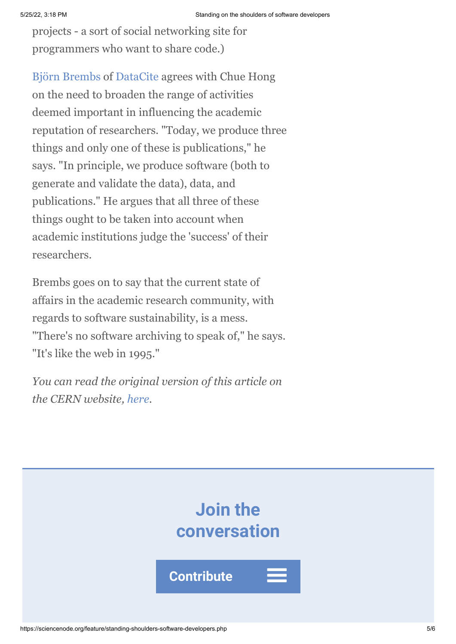projects - a sort of social networking site for programmers who want to share code.)

[Björn Brembs](http://brembs.net/) of [DataCite](http://datacite.org/) agrees with Chue Hong on the need to broaden the range of activities deemed important in influencing the academic reputation of researchers. "Today, we produce three things and only one of these is publications," he says. "In principle, we produce software (both to generate and validate the data), data, and publications." He argues that all three of these things ought to be taken into account when academic institutions judge the 'success' of their researchers.

Brembs goes on to say that the current state of affairs in the academic research community, with regards to software sustainability, is a mess. "There's no software archiving to speak of," he says. "It's like the web in 1995."

*You can read the original version of this article on the CERN website, [here.](http://home.web.cern.ch/about/updates/2013/01/standing-shoulders-software-developers)*